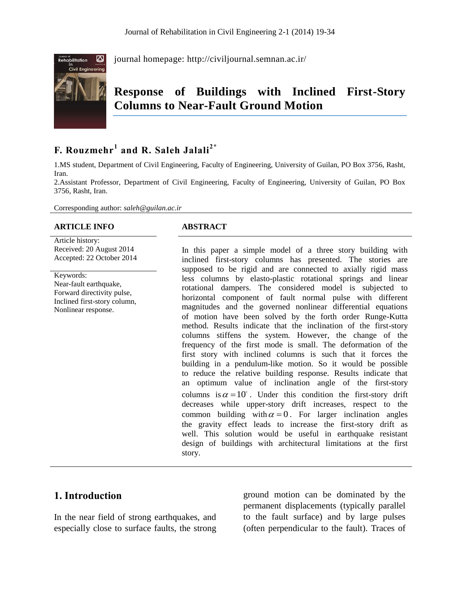

journal homepage:<http://civiljournal.semnan.ac.ir/>

# **Response of Buildings with Inclined First-Story Columns to Near-Fault Ground Motion**

# **F. Rouzmehr<sup>1</sup> and R. Saleh Jalali2\***

1.MS student, Department of Civil Engineering, Faculty of Engineering, University of Guilan, PO Box 3756, Rasht, Iran.

2.Assistant Professor, Department of Civil Engineering, Faculty of Engineering, University of Guilan, PO Box 3756, Rasht, Iran.

Corresponding author: *saleh@guilan.ac.ir*

#### **ARTICLE INFO ABSTRACT**

Article history: Received: 20 August 2014 Accepted: 22 October 2014

Keywords: Near-fault earthquake, Forward directivity pulse, Inclined first-story column, Nonlinear response.

In this paper a simple model of a three story building with inclined first-story columns has presented. The stories are supposed to be rigid and are connected to axially rigid mass less columns by elasto-plastic rotational springs and linear rotational dampers. The considered model is subjected to horizontal component of fault normal pulse with different magnitudes and the governed nonlinear differential equations of motion have been solved by the forth order Runge-Kutta method. Results indicate that the inclination of the first-story columns stiffens the system. However, the change of the frequency of the first mode is small. The deformation of the first story with inclined columns is such that it forces the building in a pendulum-like motion. So it would be possible to reduce the relative building response. Results indicate that an optimum value of inclination angle of the first-story columns is  $\alpha = 10^{\circ}$ . Under this condition the first-story drift decreases while upper-story drift increases, respect to the common building with  $\alpha = 0$ . For larger inclination angles the gravity effect leads to increase the first-story drift as well. This solution would be useful in earthquake resistant design of buildings with architectural limitations at the first story.

# **1. Introduction**

In the near field of strong earthquakes, and especially close to surface faults, the strong

ground motion can be dominated by the permanent displacements (typically parallel to the fault surface) and by large pulses (often perpendicular to the fault). Traces of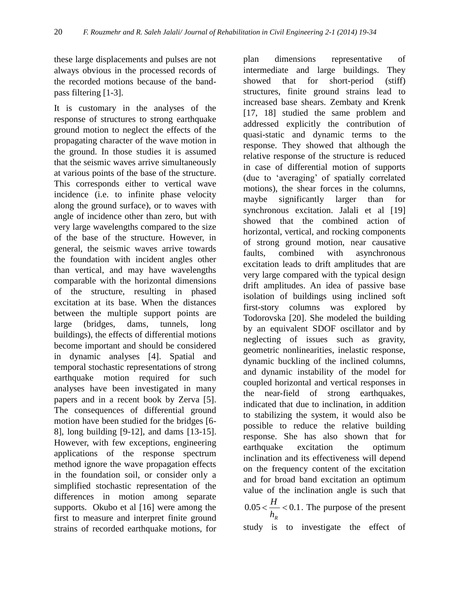these large displacements and pulses are not always obvious in the processed records of the recorded motions because of the bandpass filtering [1-3].

It is customary in the analyses of the response of structures to strong earthquake ground motion to neglect the effects of the propagating character of the wave motion in the ground. In those studies it is assumed that the seismic waves arrive simultaneously at various points of the base of the structure. This corresponds either to vertical wave incidence (i.e. to infinite phase velocity along the ground surface), or to waves with angle of incidence other than zero, but with very large wavelengths compared to the size of the base of the structure. However, in general, the seismic waves arrive towards the foundation with incident angles other than vertical, and may have wavelengths comparable with the horizontal dimensions of the structure, resulting in phased excitation at its base. When the distances between the multiple support points are large (bridges, dams, tunnels, long buildings), the effects of differential motions become important and should be considered in dynamic analyses [4]. Spatial and temporal stochastic representations of strong earthquake motion required for such analyses have been investigated in many papers and in a recent book by Zerva [5]. The consequences of differential ground motion have been studied for the bridges [6- 8], long building [9-12], and dams [13-15]. However, with few exceptions, engineering applications of the response spectrum method ignore the wave propagation effects in the foundation soil, or consider only a simplified stochastic representation of the differences in motion among separate supports. Okubo et al [16] were among the first to measure and interpret finite ground strains of recorded earthquake motions, for

plan dimensions representative of intermediate and large buildings. They showed that for short-period (stiff) structures, finite ground strains lead to increased base shears. Zembaty and Krenk [17, 18] studied the same problem and addressed explicitly the contribution of quasi-static and dynamic terms to the response. They showed that although the relative response of the structure is reduced in case of differential motion of supports (due to 'averaging' of spatially correlated motions), the shear forces in the columns, maybe significantly larger than for synchronous excitation. Jalali et al [19] showed that the combined action of horizontal, vertical, and rocking components of strong ground motion, near causative faults, combined with asynchronous excitation leads to drift amplitudes that are very large compared with the typical design drift amplitudes. An idea of passive base isolation of buildings using inclined soft first-story columns was explored by Todorovska [20]. She modeled the building by an equivalent SDOF oscillator and by neglecting of issues such as gravity, geometric nonlinearities, inelastic response, dynamic buckling of the inclined columns, and dynamic instability of the model for coupled horizontal and vertical responses in the near-field of strong earthquakes, indicated that due to inclination, in addition to stabilizing the system, it would also be possible to reduce the relative building response. She has also shown that for earthquake excitation the optimum inclination and its effectiveness will depend on the frequency content of the excitation and for broad band excitation an optimum value of the inclination angle is such that  $0.05 < \frac{11}{1} < 0.1$ *R H h*  $\epsilon \frac{H}{1}$  < 0.1. The purpose of the present study is to investigate the effect of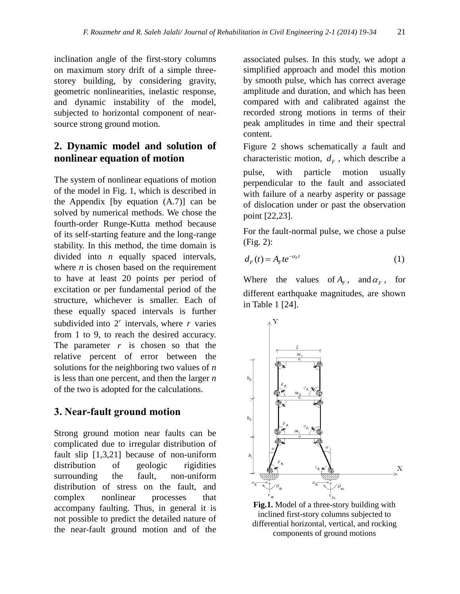inclination angle of the first-story columns on maximum story drift of a simple threestorey building, by considering gravity, geometric nonlinearities, inelastic response, and dynamic instability of the model, subjected to horizontal component of nearsource strong ground motion.

# **2. Dynamic model and solution of nonlinear equation of motion**

The system of nonlinear equations of motion of the model in Fig. 1, which is described in the Appendix [by equation (A.7)] can be solved by numerical methods. We chose the fourth-order Runge-Kutta method because of its self-starting feature and the long-range stability. In this method, the time domain is divided into *n* equally spaced intervals, where  $n$  is chosen based on the requirement to have at least 20 points per period of excitation or per fundamental period of the structure, whichever is smaller. Each of these equally spaced intervals is further subdivided into  $2^r$  intervals, where  $r$  varies from 1 to 9, to reach the desired accuracy. The parameter  $r$  is chosen so that the relative percent of error between the solutions for the neighboring two values of *n* is less than one percent, and then the larger *n* of the two is adopted for the calculations.

# **3. Near-fault ground motion**

Strong ground motion near faults can be complicated due to irregular distribution of fault slip [1,3,21] because of non-uniform distribution of geologic rigidities surrounding the fault, non-uniform distribution of stress on the fault, and complex nonlinear processes that accompany faulting. Thus, in general it is not possible to predict the detailed nature of the near-fault ground motion and of the

associated pulses. In this study, we adopt a simplified approach and model this motion by smooth pulse, which has correct average amplitude and duration, and which has been compared with and calibrated against the recorded strong motions in terms of their peak amplitudes in time and their spectral content.

Figure 2 shows schematically a fault and characteristic motion,  $d_F$ , which describe a pulse, with particle motion usually perpendicular to the fault and associated with failure of a nearby asperity or passage of dislocation under or past the observation point [22,23].

For the fault-normal pulse, we chose a pulse (Fig. 2):

$$
d_F(t) = A_F t e^{-\alpha_F t} \tag{1}
$$

Where the values of  $A_F$ , and  $\alpha_F$ , for different earthquake magnitudes, are shown in Table 1 [24].



**Fig.1.** Model of a three-story building with inclined first-story columns subjected to differential horizontal, vertical, and rocking components of ground motions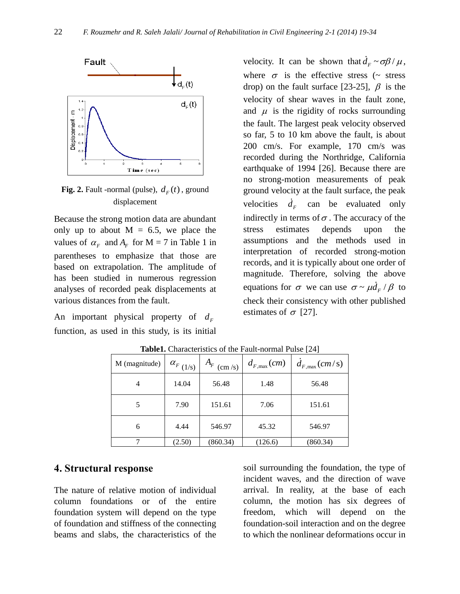

**Fig. 2.** Fault -normal (pulse),  $d_F(t)$ , ground displacement

Because the strong motion data are abundant only up to about  $M = 6.5$ , we place the values of  $\alpha_F$  and  $A_F$  for M = 7 in Table 1 in parentheses to emphasize that those are based on extrapolation. The amplitude of has been studied in numerous regression analyses of recorded peak displacements at various distances from the fault.

An important physical property of  $d_F$ function, as used in this study, is its initial

velocity. It can be shown that  $d_F \sim \sigma \beta / \mu$ , where  $\sigma$  is the effective stress ( $\sim$  stress drop) on the fault surface [23-25],  $\beta$  is the velocity of shear waves in the fault zone, and  $\mu$  is the rigidity of rocks surrounding the fault. The largest peak velocity observed so far, 5 to 10 km above the fault, is about 200 cm/s. For example, 170 cm/s was recorded during the Northridge, California earthquake of 1994 [26]. Because there are no strong-motion measurements of peak ground velocity at the fault surface, the peak velocities  $d_F$  can be evaluated only indirectly in terms of  $\sigma$ . The accuracy of the stress estimates depends upon the assumptions and the methods used in interpretation of recorded strong-motion records, and it is typically about one order of magnitude. Therefore, solving the above equations for  $\sigma$  we can use  $\sigma \sim \mu d_F / \beta$  to check their consistency with other published estimates of  $\sigma$  [27].

| M (magnitude) | $\alpha_{F(1/s)}$ | $A_F$ (cm/s) | $d_{F,\max}(cm)$ | $d_{F,\text{max}}(cm/s)$ |
|---------------|-------------------|--------------|------------------|--------------------------|
| 4             | 14.04             | 56.48        | 1.48             | 56.48                    |
|               | 7.90              | 151.61       | 7.06             | 151.61                   |
| 6             | 4.44              | 546.97       | 45.32            | 546.97                   |
|               | (2.50)            | (860.34)     | (126.6)          | (860.34)                 |

**Table1.** Characteristics of the Fault-normal Pulse [24]

# **4. Structural response**

The nature of relative motion of individual column foundations or of the entire foundation system will depend on the type of foundation and stiffness of the connecting beams and slabs, the characteristics of the soil surrounding the foundation, the type of incident waves, and the direction of wave arrival. In reality, at the base of each column, the motion has six degrees of freedom, which will depend on the foundation-soil interaction and on the degree to which the nonlinear deformations occur in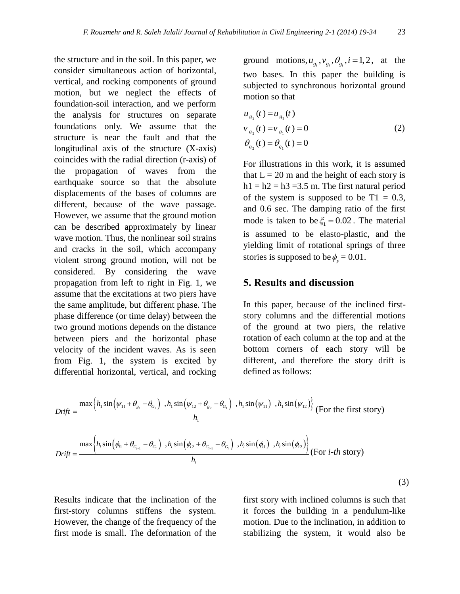the structure and in the soil. In this paper, we consider simultaneous action of horizontal, vertical, and rocking components of ground motion, but we neglect the effects of foundation-soil interaction, and we perform the analysis for structures on separate foundations only. We assume that the structure is near the fault and that the longitudinal axis of the structure (X-axis) coincides with the radial direction (r-axis) of the propagation of waves from the earthquake source so that the absolute displacements of the bases of columns are different, because of the wave passage. However, we assume that the ground motion can be described approximately by linear wave motion. Thus, the nonlinear soil strains and cracks in the soil, which accompany violent strong ground motion, will not be considered. By considering the wave propagation from left to right in Fig. 1, we assume that the excitations at two piers have the same amplitude, but different phase. The phase difference (or time delay) between the two ground motions depends on the distance between piers and the horizontal phase velocity of the incident waves. As is seen from Fig. 1, the system is excited by differential horizontal, vertical, and rocking

ground motions,  $u_{g_i}$ ,  $v_{g_i}$ ,  $\theta_{g_i}$ ,  $i = 1, 2$ , at the two bases. In this paper the building is subjected to synchronous horizontal ground motion so that

$$
u_{g_2}(t) = u_{g_1}(t)
$$
  
\n
$$
v_{g_2}(t) = v_{g_1}(t) = 0
$$
  
\n
$$
\theta_{g_2}(t) = \theta_{g_1}(t) = 0
$$
\n(2)

For illustrations in this work, it is assumed that  $L = 20$  m and the height of each story is  $h1 = h2 = h3 = 3.5$  m. The first natural period of the system is supposed to be  $T1 = 0.3$ , and 0.6 sec. The damping ratio of the first mode is taken to be  $\xi_1 = 0.02$ . The material is assumed to be elasto-plastic, and the yielding limit of rotational springs of three stories is supposed to be  $\phi_y = 0.01$ .

### **5. Results and discussion**

In this paper, because of the inclined firststory columns and the differential motions of the ground at two piers, the relative rotation of each column at the top and at the bottom corners of each story will be different, and therefore the story drift is defined as follows:

differential horizontal, vertical, and rocking  
\ndetined as follows:  
\n
$$
Drift = \frac{\max\left\{h_1 \sin\left(\psi_{11} + \theta_{g_1} - \theta_{G_1}\right) , h_1 \sin\left(\psi_{12} + \theta_{g_2} - \theta_{G_1}\right) , h_1 \sin\left(\psi_{11}\right) , h_1 \sin\left(\psi_{12}\right) \right\}}{h_1}
$$
\n
$$
(For the first story)
$$
\n
$$
Drift = \frac{\max\left\{h_i \sin\left(\phi_{i1} + \theta_{G_{i-1}} - \theta_{G_i}\right) , h_i \sin\left(\phi_{i2} + \theta_{G_{i-1}} - \theta_{G_i}\right) , h_i \sin\left(\phi_{i1}\right) , h_i \sin\left(\phi_{i2}\right) \right\}}{h_i}
$$
\n
$$
(For i-th story)
$$

Results indicate that the inclination of the first-story columns stiffens the system. However, the change of the frequency of the first mode is small. The deformation of the

first story with inclined columns is such that it forces the building in a pendulum-like motion. Due to the inclination, in addition to stabilizing the system, it would also be

(3)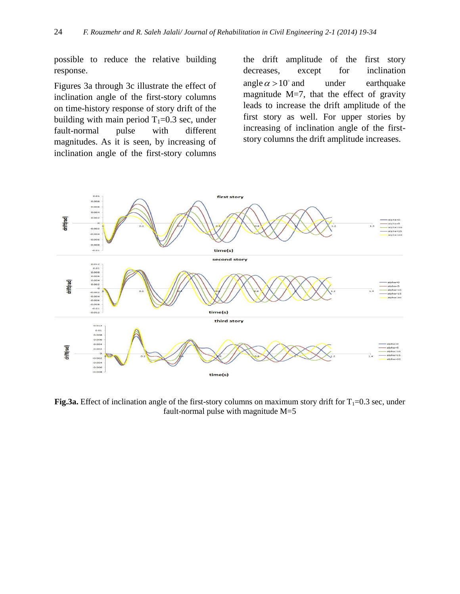possible to reduce the relative building response.

Figures 3a through 3c illustrate the effect of inclination angle of the first-story columns on time-history response of story drift of the building with main period  $T_1=0.3$  sec, under fault-normal pulse with different magnitudes. As it is seen, by increasing of inclination angle of the first-story columns

the drift amplitude of the first story decreases, except for inclination angle  $\alpha > 10$ under earthquake magnitude  $M=7$ , that the effect of gravity leads to increase the drift amplitude of the first story as well. For upper stories by increasing of inclination angle of the firststory columns the drift amplitude increases.



**Fig.3a.** Effect of inclination angle of the first-story columns on maximum story drift for  $T_1=0.3$  sec, under fault-normal pulse with magnitude M=5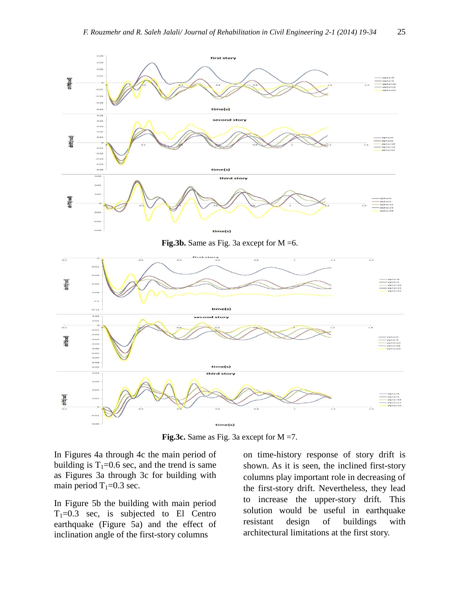

Fig.3c. Same as Fig. 3a except for M =7.

In Figures 4a through 4c the main period of building is  $T_1=0.6$  sec, and the trend is same as Figures 3a through 3c for building with main period  $T_1=0.3$  sec.

In Figure 5b the building with main period  $T_1=0.3$  sec, is subjected to El Centro earthquake (Figure 5a) and the effect of inclination angle of the first-story columns

on time-history response of story drift is shown. As it is seen, the inclined first-story columns play important role in decreasing of the first-story drift. Nevertheless, they lead to increase the upper-story drift. This solution would be useful in earthquake resistant design of buildings with architectural limitations at the first story.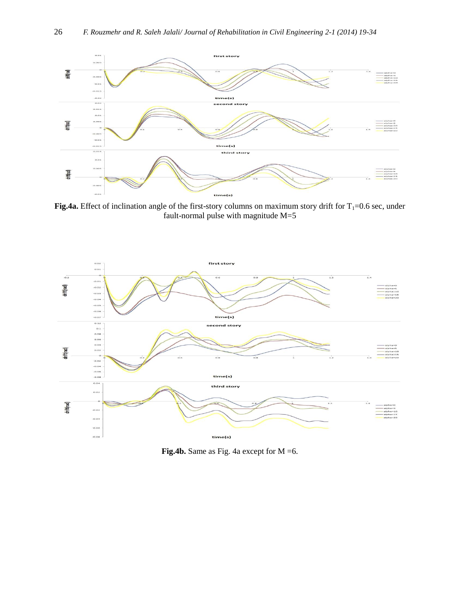

**Fig.4a.** Effect of inclination angle of the first-story columns on maximum story drift for  $T_1=0.6$  sec, under fault-normal pulse with magnitude  $M=5$ 



Fig.4b. Same as Fig. 4a except for M = 6.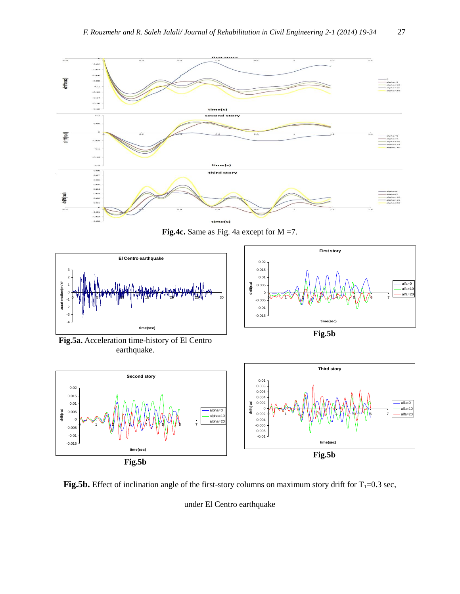

Fig.4c. Same as Fig. 4a except for M =7.



**First story**  $-0.015$ -0.01 -0.005  $\overline{0}$ 0.005 0.01 0.015 0.02 0 1 2 3 4 5 6 7 **time(sec) drift(rad)** alfa=0 alfa= $10$ alfa=20

**Fig.5b**

**Fig.5a.** Acceleration time-history of El Centro earthquake.



**Fig.5b.** Effect of inclination angle of the first-story columns on maximum story drift for  $T_1=0.3$  sec,

under El Centro earthquake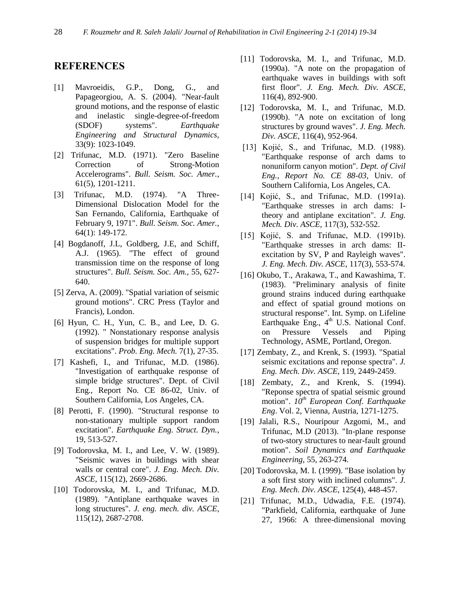### **REFERENCES**

- [1] Mavroeidis, G.P., Dong, G., and Papageorgiou, A. S. (2004). "Near-fault ground motions, and the response of elastic and inelastic single-degree-of-freedom (SDOF) systems". *Earthquake Engineering and Structural Dynamics,* 33(9): 1023-1049.
- [2] Trifunac, M.D. (1971). "Zero Baseline Correction of Strong-Motion Accelerograms". *Bull. Seism. Soc. Amer.*, 61(5), 1201-1211.
- [3] Trifunac, M.D. (1974). "A Three-Dimensional Dislocation Model for the San Fernando, California, Earthquake of February 9, 1971". *Bull. Seism. Soc. Amer.,* 64(1): 149-172.
- [4] Bogdanoff, J.L, Goldberg, J.E, and Schiff, A.J. (1965). "The effect of ground transmission time on the response of long structures". *Bull. Seism. Soc. Am.,* 55, 627- 640.
- [5] Zerva, A. (2009). "Spatial variation of seismic ground motions". CRC Press (Taylor and Francis), London.
- [6] Hyun, C. H., Yun, C. B., and Lee, D. G. (1992). " Nonstationary response analysis of suspension bridges for multiple support excitations". *Prob. Eng. Mech.* 7(1), 27-35.
- [7] Kashefi, I., and Trifunac, M.D. (1986). "Investigation of earthquake response of simple bridge structures". Dept. of Civil Eng., Report No. CE 86-02, Univ. of Southern California, Los Angeles, CA.
- [8] Perotti, F. (1990). "Structural response to non-stationary multiple support random excitation". *Earthquake Eng. Struct. Dyn.*, 19, 513-527.
- [9] Todorovska, M. I., and Lee, V. W. (1989). "Seismic waves in buildings with shear walls or central core". *J. Eng. Mech. Div. ASCE*, 115(12), 2669-2686.
- [10] Todorovska, M. I., and Trifunac, M.D. (1989). "Antiplane earthquake waves in long structures". *J. eng. mech. div. ASCE,* 115(12), 2687-2708.
- [11] Todorovska, M. I., and Trifunac, M.D. (1990a). "A note on the propagation of earthquake waves in buildings with soft first floor". *J. Eng. Mech. Div. ASCE,* 116(4), 892-900.
- [12] Todorovska, M. I., and Trifunac, M.D. (1990b). "A note on excitation of long structures by ground waves". *J. Eng. Mech. Div. ASCE,* 116(4), 952-964.
- [13] Kojić, S., and Trifunac, M.D. (1988). "Earthquake response of arch dams to nonuniform canyon motion". *Dept. of Civil Eng., Report No. CE 88-03,* Univ. of Southern California, Los Angeles, CA.
- [14] Kojić, S., and Trifunac, M.D. (1991a). "Earthquake stresses in arch dams: Itheory and antiplane excitation". *J. Eng. Mech. Div. ASCE,* 117(3), 532-552.
- [15] Kojić, S. and Trifunac, M.D. (1991b). "Earthquake stresses in arch dams: IIexcitation by SV, P and Rayleigh waves". *J. Eng. Mech. Div. ASCE*, 117(3), 553-574.
- [16] Okubo, T., Arakawa, T., and Kawashima, T. (1983). "Preliminary analysis of finite ground strains induced during earthquake and effect of spatial ground motions on structural response". Int. Symp. on Lifeline Earthquake Eng.,  $4<sup>th</sup>$  U.S. National Conf. on Pressure Vessels and Piping Technology, ASME, Portland, Oregon.
- [17] Zembaty, Z., and Krenk, S. (1993). "Spatial seismic excitations and reponse spectra". *J. Eng. Mech. Div. ASCE*, 119, 2449-2459.
- [18] Zembaty, Z., and Krenk, S. (1994). "Reponse spectra of spatial seismic ground motion". *10th European Conf. Earthquake Eng*. Vol. 2, Vienna, Austria, 1271-1275.
- [19] Jalali, R.S., Nouripour Azgomi, M., and Trifunac, M.D (2013). "In-plane response of two-story structures to near-fault ground motion". *Soil Dynamics and Earthquake Engineering*, 55, 263-274.
- [20] Todorovska, M. I. (1999). "Base isolation by a soft first story with inclined columns". *J. Eng. Mech. Div. ASCE*, 125(4), 448-457.
- [21] Trifunac, M.D., Udwadia, F.E. (1974). "Parkfield, California, earthquake of June 27, 1966: A three-dimensional moving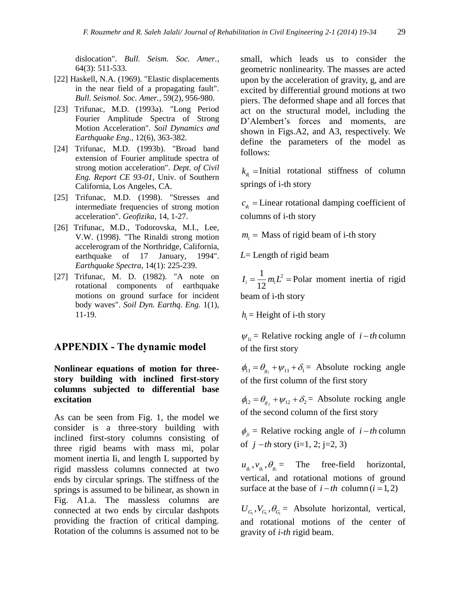dislocation". *Bull. Seism. Soc. Amer.*, 64(3): 511-533.

- [22] Haskell, N.A. (1969). "Elastic displacements in the near field of a propagating fault". *Bull. Seismol. Soc. Amer.,* 59(2), 956-980.
- [23] Trifunac, M.D. (1993a). "Long Period Fourier Amplitude Spectra of Strong Motion Acceleration". *Soil Dynamics and Earthquake Eng*., 12(6), 363-382.
- [24] Trifunac, M.D. (1993b). "Broad band extension of Fourier amplitude spectra of strong motion acceleration". *Dept. of Civil Eng. Report CE 93-01*, Univ. of Southern California, Los Angeles, CA.
- [25] Trifunac, M.D. (1998). "Stresses and intermediate frequencies of strong motion acceleration". *Geofizika,* 14, 1-27.
- [26] Trifunac, M.D., Todorovska, M.I., Lee, V.W. (1998). "The Rinaldi strong motion accelerogram of the Northridge, California, earthquake of 17 January, 1994". *Earthquake Spectra,* 14(1): 225-239.
- [27] Trifunac, M. D. (1982). "A note on rotational components of earthquake motions on ground surface for incident body waves". *Soil Dyn. Earthq. Eng.* 1(1), 11-19.

#### **APPENDIX - The dynamic model**

#### **Nonlinear equations of motion for threestory building with inclined first-story columns subjected to differential base excitation**

As can be seen from Fig. 1, the model we consider is a three-story building with inclined first-story columns consisting of three rigid beams with mass mi, polar moment inertia Ii, and length L supported by rigid massless columns connected at two ends by circular springs. The stiffness of the springs is assumed to be bilinear, as shown in Fig. A1.a. The massless columns are connected at two ends by circular dashpots providing the fraction of critical damping. Rotation of the columns is assumed not to be small, which leads us to consider the geometric nonlinearity. The masses are acted upon by the acceleration of gravity, g, and are excited by differential ground motions at two piers. The deformed shape and all forces that act on the structural model, including the D'Alembert's forces and moments, are shown in Figs.A2, and A3, respectively. We define the parameters of the model as follows:

 $k_{\phi}$  = Initial rotational stiffness of column springs of i-th story

 $c_{\phi}$  = Linear rotational damping coefficient of columns of i-th story

 $m_i$  = Mass of rigid beam of i-th story

*L*= Length of rigid beam

 $I_i = \frac{1}{12} m_i L^2$  = Polar moment inertia of rigid beam of i-th story

 $h_i$  = Height of i-th story

 $W_{1i}$  = Relative rocking angle of  $i - th$  column of the first story

 $\phi_{11} = \theta_{g_1} + \psi_{11} + \delta_1 =$  Absolute rocking angle of the first column of the first story

 $\phi_{12} = \theta_{g_2} + \psi_{12} + \delta_2 =$  Absolute rocking angle of the second column of the first story

 $\phi_{ji}$  = Relative rocking angle of *i* – *th* column of  $j - th$  story (i=1, 2; j=2, 3)

 $u_{g_i}, v_{g_i}, \theta_{g_i} =$  The free-field horizontal, vertical, and rotational motions of ground surface at the base of  $i-th$  column  $(i = 1, 2)$ 

 $U_{G_i}$ ,  $V_{G_i}$ ,  $\theta_{G_i}$  = Absolute horizontal, vertical, and rotational motions of the center of gravity of *i-th* rigid beam.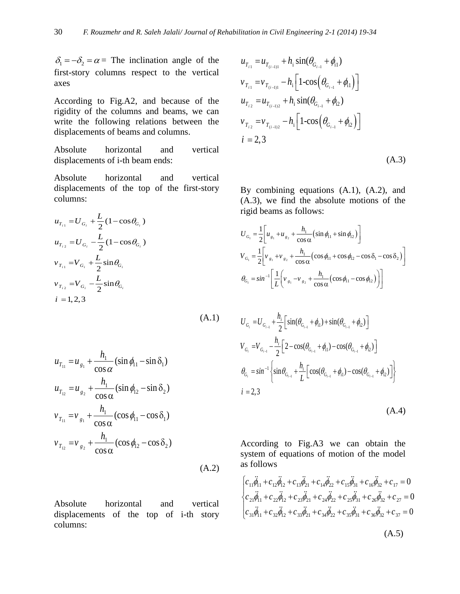$\delta_1 = -\delta_2 = \alpha =$  The inclination angle of the first-story columns respect to the vertical axes

According to Fig.A2, and because of the rigidity of the columns and beams, we can write the following relations between the displacements of beams and columns.

Absolute horizontal and vertical displacements of i-th beam ends:

Absolute horizontal and vertical displacements of the top of the first-story columns:

$$
u_{T_{i1}} = U_{G_i} + \frac{L}{2} (1 - \cos \theta_{G_i})
$$
  
\n
$$
u_{T_{i2}} = U_{G_i} - \frac{L}{2} (1 - \cos \theta_{G_i})
$$
  
\n
$$
v_{T_{i1}} = V_{G_i} + \frac{L}{2} \sin \theta_{G_i}
$$
  
\n
$$
v_{T_{i2}} = V_{G_i} - \frac{L}{2} \sin \theta_{G_i}
$$
  
\n
$$
i = 1, 2, 3
$$
\n(A.1)

$$
u_{T_{11}} = u_{g_1} + \frac{h_1}{\cos \alpha} (\sin \phi_{11} - \sin \delta_1)
$$
  
\n
$$
u_{T_{12}} = u_{g_2} + \frac{h_1}{\cos \alpha} (\sin \phi_{12} - \sin \delta_2)
$$
  
\n
$$
v_{T_{11}} = v_{g_1} + \frac{h_1}{\cos \alpha} (\cos \phi_{11} - \cos \delta_1)
$$
  
\n
$$
v_{T_{12}} = v_{g_2} + \frac{h_1}{\cos \alpha} (\cos \phi_{12} - \cos \delta_2)
$$
  
\n(A.2)

Absolute horizontal and vertical displacements of the top of i-th story columns:

$$
u_{T_{i1}} = u_{T_{(i-1)1}} + h_i \sin(\theta_{G_{i-1}} + \phi_{i1})
$$
  
\n
$$
v_{T_{i1}} = v_{T_{(i-1)1}} - h_i \left[ 1 - \cos(\theta_{G_{i-1}} + \phi_{i1}) \right]
$$
  
\n
$$
u_{T_{i2}} = u_{T_{(i-1)2}} + h_i \sin(\theta_{G_{i-1}} + \phi_{i2})
$$
  
\n
$$
v_{T_{i2}} = v_{T_{(i-1)2}} - h_i \left[ 1 - \cos(\theta_{G_{i-1}} + \phi_{i2}) \right]
$$
  
\n
$$
i = 2, 3
$$
 (A.3)

By combining equations (A.1), (A.2), and (A.3), we find the absolute motions of the

rigid beams as follows:  
\n
$$
U_{G_1} = \frac{1}{2} \left[ u_{g_1} + u_{g_2} + \frac{h_1}{\cos \alpha} (\sin \phi_1 + \sin \phi_2) \right]
$$
\n
$$
V_{G_1} = \frac{1}{2} \left[ v_{g_1} + v_{g_2} + \frac{h_1}{\cos \alpha} (\cos \phi_1 + \cos \phi_2 - \cos \delta_1 - \cos \delta_2) \right]
$$
\n
$$
\theta_{G_1} = \sin^{-1} \left[ \frac{1}{L} \left( v_{g_1} - v_{g_2} + \frac{h_1}{\cos \alpha} (\cos \phi_1 - \cos \phi_2) \right) \right]
$$

$$
U_{G_i} = U_{G_{i-1}} + \frac{h_i}{2} \Big[ sin(\theta_{G_{i-1}} + \phi_{i1}) + sin(\theta_{G_{i-1}} + \phi_{i2}) \Big]
$$
  
\n
$$
V_{G_i} = V_{G_{i-1}} - \frac{h_i}{2} \Big[ 2 - cos(\theta_{G_{i-1}} + \phi_{i1}) - cos(\theta_{G_{i-1}} + \phi_{i2}) \Big]
$$
  
\n
$$
\theta_{G_i} = sin^{-1} \Big\{ sin \theta_{G_{i-1}} + \frac{h_i}{L} \Big[ cos(\theta_{G_{i-1}} + \phi_{i1}) - cos(\theta_{G_{i-1}} + \phi_{i2}) \Big] \Big\}
$$
  
\n
$$
i = 2, 3
$$
 (A.4)

According to Fig.A3 we can obtain the system of equations of motion of the model as follows

as follows  
\n
$$
\begin{cases}\nc_{11}\ddot{\phi}_{11} + c_{12}\ddot{\phi}_{12} + c_{13}\ddot{\phi}_{21} + c_{14}\ddot{\phi}_{22} + c_{15}\ddot{\phi}_{31} + c_{16}\ddot{\phi}_{32} + c_{17} = 0 \\
c_{21}\ddot{\phi}_{11} + c_{22}\ddot{\phi}_{12} + c_{23}\ddot{\phi}_{21} + c_{24}\ddot{\phi}_{22} + c_{25}\ddot{\phi}_{31} + c_{26}\ddot{\phi}_{32} + c_{27} = 0 \\
c_{31}\ddot{\phi}_{11} + c_{32}\ddot{\phi}_{12} + c_{33}\ddot{\phi}_{21} + c_{34}\ddot{\phi}_{22} + c_{35}\ddot{\phi}_{31} + c_{36}\ddot{\phi}_{32} + c_{37} = 0\n\end{cases}
$$

$$
(\mathrm{A.5})
$$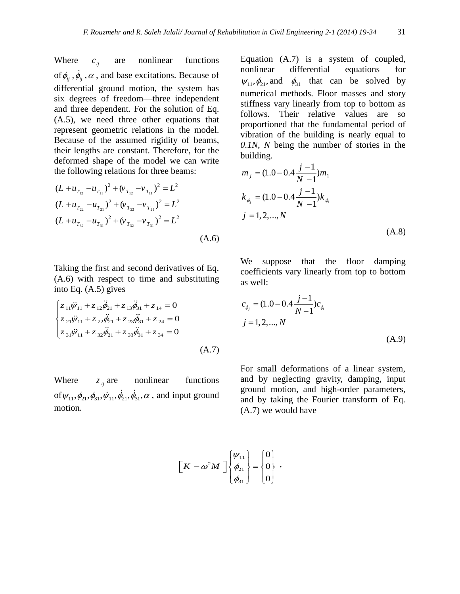Where  $c_{ii}$ are nonlinear functions of  $\phi_{ij}$ ,  $\dot{\phi}_{ij}$ ,  $\alpha$ , and base excitations. Because of differential ground motion, the system has six degrees of freedom—three independent and three dependent. For the solution of Eq. (A.5), we need three other equations that represent geometric relations in the model. Because of the assumed rigidity of beams, their lengths are constant. Therefore, for the deformed shape of the model we can write the following relations for three beams:

$$
(L + u_{T_{12}} - u_{T_{11}})^2 + (v_{T_{12}} - v_{T_{11}})^2 = L^2
$$
  
\n
$$
(L + u_{T_{22}} - u_{T_{21}})^2 + (v_{T_{22}} - v_{T_{21}})^2 = L^2
$$
  
\n
$$
(L + u_{T_{32}} - u_{T_{31}})^2 + (v_{T_{32}} - v_{T_{31}})^2 = L^2
$$
  
\n(A.6)

Taking the first and second derivatives of Eq. (A.6) with respect to time and substituting into Eq. (A.5) gives

$$
\begin{cases}\nz_{11}\ddot{\psi}_{11} + z_{12}\ddot{\phi}_{21} + z_{13}\ddot{\phi}_{31} + z_{14} = 0 \\
z_{21}\ddot{\psi}_{11} + z_{22}\ddot{\phi}_{21} + z_{23}\ddot{\phi}_{31} + z_{24} = 0 \\
z_{31}\ddot{\psi}_{11} + z_{32}\ddot{\phi}_{21} + z_{33}\ddot{\phi}_{31} + z_{34} = 0\n\end{cases}
$$
\n(A.7)

Where  $z_{ij}$  are nonlinear functions of  $\psi_{11}, \phi_{21}, \phi_{31}, \dot{\psi}_{11}, \dot{\phi}_{21}, \dot{\phi}_{31}, \alpha$ , and input ground motion.

Equation (A.7) is a system of coupled, nonlinear differential equations for  $\psi_{11}, \phi_{21}$ , and  $\phi_{31}$  that can be solved by numerical methods. Floor masses and story stiffness vary linearly from top to bottom as follows. Their relative values are so proportioned that the fundamental period of vibration of the building is nearly equal to *0.1N*, *N* being the number of stories in the building.

$$
m_{j} = (1.0 - 0.4 \frac{j - 1}{N - 1})m_{1}
$$
  
\n
$$
k_{\phi_{j}} = (1.0 - 0.4 \frac{j - 1}{N - 1})k_{\phi_{j}}
$$
  
\n
$$
j = 1, 2, ..., N
$$
  
\n(A.8)

We suppose that the floor damping coefficients vary linearly from top to bottom as well:

$$
c_{\phi_j} = (1.0 - 0.4 \frac{j - 1}{N - 1})c_{\phi_i}
$$
  

$$
j = 1, 2, ..., N
$$
 (A.9)

For small deformations of a linear system, and by neglecting gravity, damping, input ground motion, and high-order parameters, and by taking the Fourier transform of Eq. (A.7) we would have

$$
\left[K - \omega^2 M\right] \begin{Bmatrix} \psi_{11} \\ \phi_{21} \\ \phi_{31} \end{Bmatrix} = \begin{Bmatrix} 0 \\ 0 \\ 0 \end{Bmatrix} ,
$$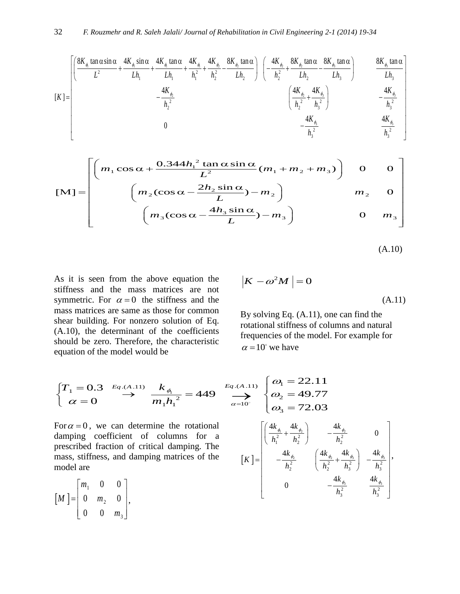32 *F. Rouz mehr and R. Saleh Jalali/ Journal of Rehabilitation in Civil Engineering 2-1 (2014) 19-34*  
\n
$$
K = \begin{bmatrix}\n\left(\frac{8K_{\phi} \tan \alpha \sin \alpha}{L^2} + \frac{4K_{\phi} \sin \alpha}{Lh_1} + \frac{4K_{\phi} \tan \alpha}{Lh_1} + \frac{4K_{\phi}}{h_1^2} + \frac{4K_{\phi}}{h_2^2} - \frac{8K_{\phi} \tan \alpha}{Lh_2}\right) \left(-\frac{4K_{\phi_2}}{h_2^2} + \frac{8K_{\phi_1} \tan \alpha}{Lh_2} - \frac{8K_{\phi_2} \tan \alpha}{Lh_3}\right) & \frac{8K_{\phi_1} \tan \alpha}{Lh_3} \\
-\frac{4K_{\phi_2}}{h_2^2} & -\frac{4K_{\phi_2}}{h_2^2} & \left(\frac{4K_{\phi_2}}{h_2^2} + \frac{4K_{\phi_3}}{h_3^2}\right) & -\frac{4K_{\phi_3}}{h_3^2} \\
0 & -\frac{4K_{\phi_4}}{h_3^2} & \frac{4K_{\phi_4}}{h_3^2}\n\end{bmatrix}
$$

$$
\begin{bmatrix}\n0 & -\frac{4K_{\phi}}{h_3^2} & \frac{4K_{\phi}}{h_3^2} \\
\vdots & \vdots & \ddots & \vdots \\
\left[m_1 \cos \alpha + \frac{0.344h_1^2 \tan \alpha \sin \alpha}{L^2} (m_1 + m_2 + m_3)\right] & 0 & 0 \\
\vdots & \left(m_2 (\cos \alpha - \frac{2h_2 \sin \alpha}{L}) - m_2\right) & m_2 & 0 \\
\vdots & \left(m_3 (\cos \alpha - \frac{4h_3 \sin \alpha}{L}) - m_3\right) & 0 & m_3\n\end{bmatrix}
$$

3 3 3 3 *h L*

$$
(A.10)
$$

As it is seen from the above equation the stiffness and the mass matrices are not symmetric. For  $\alpha = 0$  the stiffness and the mass matrices are same as those for common shear building. For nonzero solution of Eq. (A.10), the determinant of the coefficients should be zero. Therefore, the characteristic equation of the model would be

$$
\left|K - \omega^2 M\right| = 0\tag{A.11}
$$

By solving Eq. (A.11), one can find the rotational stiffness of columns and natural frequencies of the model. For example for  $\alpha = 10^{\circ}$  we have

$$
\begin{cases}\nT_1 = 0.3 & \text{Eq.}(A.11) \\
\alpha = 0 & \text{if } n_1 h_1^2 = 449\n\end{cases}\n\xrightarrow{Eq. (A.11)}\n\begin{cases}\n\omega_1 = 22.11 \\
\omega_2 = 49.77 \\
\omega_3 = 72.03\n\end{cases}
$$

For  $\alpha = 0$ , we can determine the rotational damping coefficient of columns for a prescribed fraction of critical damping. The mass, stiffness, and damping matrices of the model are

$$
\begin{bmatrix} M \end{bmatrix} = \begin{bmatrix} m_1 & 0 & 0 \\ 0 & m_2 & 0 \\ 0 & 0 & m_3 \end{bmatrix},
$$

$$
\frac{E_{q.(A.11)}}{2} = 449 \sum_{\alpha=10^{\circ}}^{E_{q.(A.11)}} \begin{cases} \omega_{1} = 22.11 \\ \omega_{2} = 49.77 \\ \omega_{3} = 72.03 \end{cases}
$$
  
\ne rotational  
\nmaps for a  
\nmping. The  
\ntrices of the  
\n
$$
[K] = \begin{bmatrix} \left(\frac{4k_{\phi_{1}}}{h_{1}^{2}} + \frac{4k_{\phi_{2}}}{h_{2}^{2}}\right) & -\frac{4k_{\phi_{2}}}{h_{2}^{2}} & 0 \\ -\frac{4k_{\phi_{2}}}{h_{2}^{2}} & \left(\frac{4k_{\phi_{2}}}{h_{2}^{2}} + \frac{4k_{\phi_{3}}}{h_{3}^{2}}\right) & -\frac{4k_{\phi_{3}}}{h_{3}^{2}} \\ 0 & -\frac{4k_{\phi_{3}}}{h_{3}^{2}} & \frac{4k_{\phi_{3}}}{h_{3}^{2}} \end{bmatrix},
$$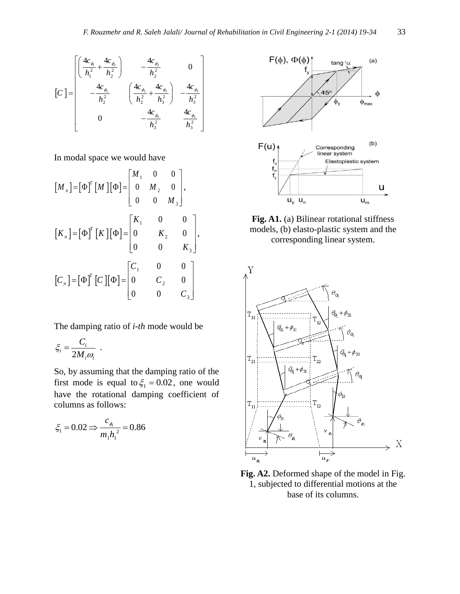$$
\begin{bmatrix}\nC\n\end{bmatrix} = \begin{bmatrix}\n\frac{4c_{\phi_1}}{h_1^2} + \frac{4c_{\phi_2}}{h_2^2} & -\frac{4c_{\phi_2}}{h_2^2} & 0 \\
-\frac{4c_{\phi_2}}{h_2^2} & \left(\frac{4c_{\phi_2}}{h_2^2} + \frac{4c_{\phi_3}}{h_3^2}\right) & -\frac{4c_{\phi_3}}{h_3^2} \\
0 & -\frac{4c_{\phi_3}}{h_3^2} & \frac{4c_{\phi_3}}{h_3^2}\n\end{bmatrix}
$$

In modal space we would have

$$
[M_{n}] = [\Phi]^{T} [M] [\Phi] = \begin{bmatrix} M_{1} & 0 & 0 \\ 0 & M_{2} & 0 \\ 0 & 0 & M_{3} \end{bmatrix},
$$
  
\n
$$
[K_{n}] = [\Phi]^{T} [K] [\Phi] = \begin{bmatrix} K_{1} & 0 & 0 \\ 0 & K_{2} & 0 \\ 0 & 0 & K_{3} \end{bmatrix},
$$
  
\n
$$
[C_{n}] = [\Phi]^{T} [C] [\Phi] = \begin{bmatrix} C_{1} & 0 & 0 \\ 0 & C_{2} & 0 \\ 0 & 0 & C_{3} \end{bmatrix}
$$

The damping ratio of *i-th* mode would be

$$
\xi_i = \frac{C_i}{2M_i\omega_i} \ .
$$

So, by assuming that the damping ratio of the first mode is equal to  $\xi_1 = 0.02$ , one would have the rotational damping coefficient of columns as follows:

$$
\xi_1 = 0.02 \Rightarrow \frac{c_{\phi_1}}{m_1 h_1^2} = 0.86
$$



Fig. A1. (a) Bilinear rotational stiffness models, (b) elasto-plastic system and the corresponding linear system.



**Fig. A2.** Deformed shape of the model in Fig. 1, subjected to differential motions at the base of its columns.